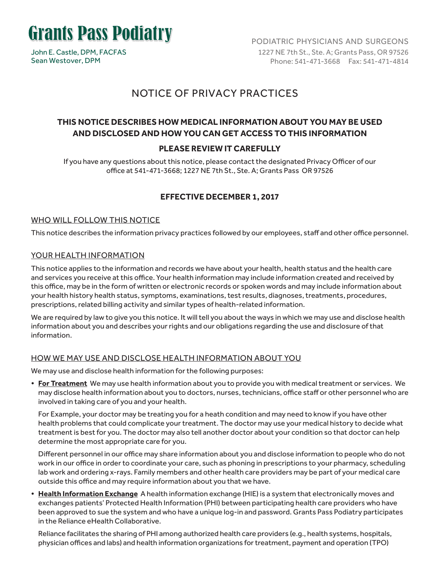

John E. Castle, DPM, FACFAS Sean Westover, DPM

PODIATRIC PHYSICIANS AND SURGEONS 1227 NE 7th St., Ste. A; Grants Pass, OR 97526 Phone: 541-471-3668 Fax: 541-471-4814

## NOTICE OF PRIVACY PRACTICES

## **THIS NOTICE DESCRIBES HOW MEDICAL INFORMATION ABOUT YOU MAY BE USED AND DISCLOSED AND HOW YOU CAN GET ACCESS TO THIS INFORMATION**

### **PLEASE REVIEW IT CAREFULLY**

If you have any questions about this notice, please contact the designated Privacy Officer of our office at 541-471-3668; 1227 NE 7th St., Ste. A; Grants Pass OR 97526

### **EFFECTIVE DECEMBER 1, 2017**

#### WHO WILL FOLLOW THIS NOTICE

This notice describes the information privacy practices followed by our employees, staff and other office personnel.

#### YOUR HEALTH INFORMATION

This notice applies to the information and records we have about your health, health status and the health care and services you receive at this office. Your health information may include information created and received by this office, may be in the form of written or electronic records or spoken words and may include information about your health history health status, symptoms, examinations, test results, diagnoses, treatments, procedures, prescriptions, related billing activity and similar types of health-related information.

We are required by law to give you this notice. It will tell you about the ways in which we may use and disclose health information about you and describes your rights and our obligations regarding the use and disclosure of that information.

#### HOW WE MAY USE AND DISCLOSE HEALTH INFORMATION ABOUT YOU

We may use and disclose health information for the following purposes:

**• For Treatment** We may use health information about you to provide you with medical treatment or services. We may disclose health information about you to doctors, nurses, technicians, office staff or other personnel who are involved in taking care of you and your health.

For Example, your doctor may be treating you for a heath condition and may need to know if you have other health problems that could complicate your treatment. The doctor may use your medical history to decide what treatment is best for you. The doctor may also tell another doctor about your condition so that doctor can help determine the most appropriate care for you.

Different personnel in our office may share information about you and disclose information to people who do not work in our office in order to coordinate your care, such as phoning in prescriptions to your pharmacy, scheduling lab work and ordering x-rays. Family members and other health care providers may be part of your medical care outside this office and may require information about you that we have.

**• Health Information Exchange** A health information exchange (HIE) is a system that electronically moves and exchanges patients' Protected Health Information (PHI) between participating health care providers who have been approved to sue the system and who have a unique log-in and password. Grants Pass Podiatry participates in the Reliance eHealth Collaborative.

Reliance facilitates the sharing of PHI among authorized health care providers (e.g., health systems, hospitals, physician offices and labs) and health information organizations for treatment, payment and operation (TPO)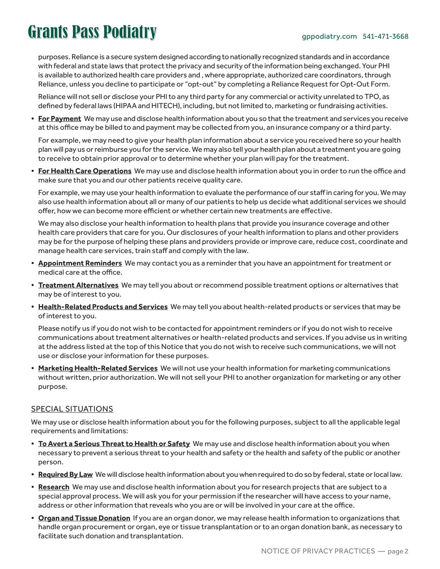purposes. Reliance is a secure system designed according to nationally recognized standards and in accordance with federal and state laws that protect the privacy and security of the information being exchanged. Your PHI is available to authorized health care providers and , where appropriate, authorized care coordinators, through Reliance, unless you decline to participate or "opt-out" by completing a Reliance Request for Opt-Out Form.

Reliance will not sell or disclose your PHI to any third party for any commercial or activity unrelated to TPO, as defined by federal laws (HIPAA and HITECH), including, but not limited to, marketing or fundraising activities.

**• For Payment** We may use and disclose health information about you so that the treatment and services you receive at this office may be billed to and payment may be collected from you, an insurance company or a third party.

For example, we may need to give your health plan information about a service you received here so your health plan will pay us or reimburse you for the service. We may also tell your health plan about a treatment you are going to receive to obtain prior approval or to determine whether your plan will pay for the treatment.

**• For Health Care Operations** We may use and disclose health information about you in order to run the office and make sure that you and our other patients receive quality care.

For example, we may use your health information to evaluate the performance of our staff in caring for you. We may also use health information about all or many of our patients to help us decide what additional services we should offer, how we can become more efficient or whether certain new treatments are effective.

We may also disclose your health information to health plans that provide you insurance coverage and other health care providers that care for you. Our disclosures of your health information to plans and other providers may be for the purpose of helping these plans and providers provide or improve care, reduce cost, coordinate and manage health care services, train staff and comply with the law.

- **• Appointment Reminders** We may contact you as a reminder that you have an appointment for treatment or medical care at the office.
- **• Treatment Alternatives** We may tell you about or recommend possible treatment options or alternatives that may be of interest to you.
- **• Health-Related Products and Services** We may tell you about health-related products or services that may be of interest to you.

Please notify us if you do not wish to be contacted for appointment reminders or if you do not wish to receive communications about treatment alternatives or health-related products and services. If you advise us in writing at the address listed at the top of this Notice that you do not wish to receive such communications, we will not use or disclose your information for these purposes.

**• Marketing Health-Related Services** We will not use your health information for marketing communications without written, prior authorization. We will not sell your PHI to another organization for marketing or any other purpose.

#### SPECIAL SITUATIONS

We may use or disclose health information about you for the following purposes, subject to all the applicable legal requirements and limitations:

- **• To Avert a Serious Threat to Health or Safety** We may use and disclose health information about you when necessary to prevent a serious threat to your health and safety or the health and safety of the public or another person.
- **• Required By Law** We will disclose health information about you when required to do so by federal, state or local law.
- **• Research** We may use and disclose health information about you for research projects that are subject to a special approval process. We will ask you for your permission if the researcher will have access to your name, address or other information that reveals who you are or will be involved in your care at the office.
- **• Organ and Tissue Donation** If you are an organ donor, we may release health information to organizations that handle organ procurement or organ, eye or tissue transplantation or to an organ donation bank, as necessary to facilitate such donation and transplantation.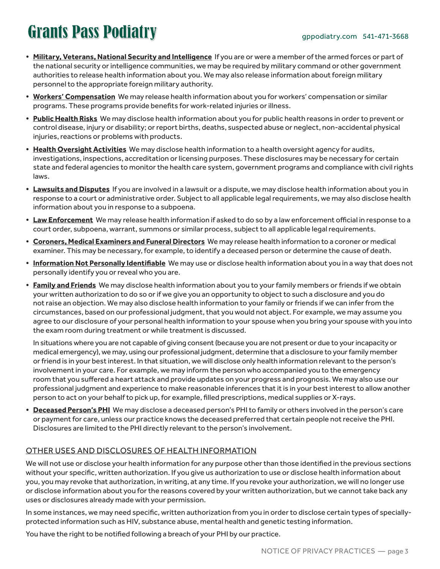- **• Military, Veterans, National Security and Intelligence** If you are or were a member of the armed forces or part of the national security or intelligence communities, we may be required by military command or other government authorities to release health information about you. We may also release information about foreign military personnel to the appropriate foreign military authority.
- **• Workers' Compensation** We may release health information about you for workers' compensation or similar programs. These programs provide benefits for work-related injuries or illness.
- **• Public Health Risks** We may disclose health information about you for public health reasons in order to prevent or control disease, injury or disability; or report births, deaths, suspected abuse or neglect, non-accidental physical injuries, reactions or problems with products.
- **• Health Oversight Activities** We may disclose health information to a health oversight agency for audits, investigations, inspections, accreditation or licensing purposes. These disclosures may be necessary for certain state and federal agencies to monitor the health care system, government programs and compliance with civil rights laws.
- **• Lawsuits and Disputes** If you are involved in a lawsuit or a dispute, we may disclose health information about you in response to a court or administrative order. Subject to all applicable legal requirements, we may also disclose health information about you in response to a subpoena.
- **• Law Enforcement** We may release health information if asked to do so by a law enforcement official in response to a court order, subpoena, warrant, summons or similar process, subject to all applicable legal requirements.
- **• Coroners, Medical Examiners and Funeral Directors** We may release health information to a coroner or medical examiner. This may be necessary, for example, to identify a deceased person or determine the cause of death.
- **• Information Not Personally Identifiable** We may use or disclose health information about you in a way that does not personally identify you or reveal who you are.
- **• Family and Friends** We may disclose health information about you to your family members or friends if we obtain your written authorization to do so or if we give you an opportunity to object to such a disclosure and you do not raise an objection. We may also disclose health information to your family or friends if we can infer from the circumstances, based on our professional judgment, that you would not abject. For example, we may assume you agree to our disclosure of your personal health information to your spouse when you bring your spouse with you into the exam room during treatment or while treatment is discussed.

In situations where you are not capable of giving consent (because you are not present or due to your incapacity or medical emergency), we may, using our professional judgment, determine that a disclosure to your family member or friend is in your best interest. In that situation, we will disclose only health information relevant to the person's involvement in your care. For example, we may inform the person who accompanied you to the emergency room that you suffered a heart attack and provide updates on your progress and prognosis. We may also use our professional judgment and experience to make reasonable inferences that it is in your best interest to allow another person to act on your behalf to pick up, for example, filled prescriptions, medical supplies or X-rays.

**• Deceased Person's PHI** We may disclose a deceased person's PHI to family or others involved in the person's care or payment for care, unless our practice knows the deceased preferred that certain people not receive the PHI. Disclosures are limited to the PHI directly relevant to the person's involvement.

### OTHER USES AND DISCLOSURES OF HEALTH INFORMATION

We will not use or disclose your health information for any purpose other than those identified in the previous sections without your specific, written authorization. If you give us authorization to use or disclose health information about you, you may revoke that authorization, in writing, at any time. If you revoke your authorization, we will no longer use or disclose information about you for the reasons covered by your written authorization, but we cannot take back any uses or disclosures already made with your permission.

In some instances, we may need specific, written authorization from you in order to disclose certain types of speciallyprotected information such as HIV, substance abuse, mental health and genetic testing information.

You have the right to be notified following a breach of your PHI by our practice.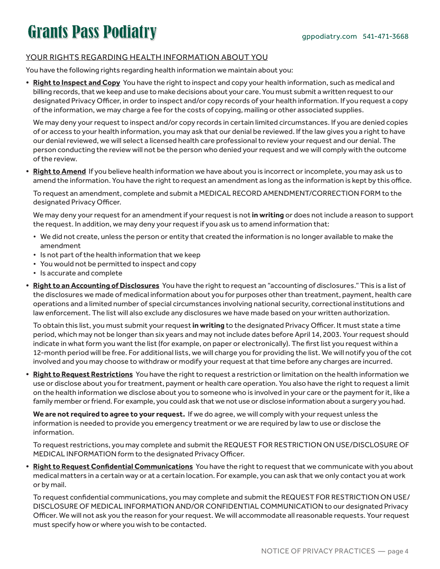### YOUR RIGHTS REGARDING HEALTH INFORMATION ABOUT YOU

You have the following rights regarding health information we maintain about you:

**• Right to Inspect and Copy** You have the right to inspect and copy your health information, such as medical and billing records, that we keep and use to make decisions about your care. You must submit a written request to our designated Privacy Officer, in order to inspect and/or copy records of your health information. If you request a copy of the information, we may charge a fee for the costs of copying, mailing or other associated supplies.

We may deny your request to inspect and/or copy records in certain limited circumstances. If you are denied copies of or access to your health information, you may ask that our denial be reviewed. If the law gives you a right to have our denial reviewed, we will select a licensed health care professional to review your request and our denial. The person conducting the review will not be the person who denied your request and we will comply with the outcome of the review.

**• Right to Amend** If you believe health information we have about you is incorrect or incomplete, you may ask us to amend the information. You have the right to request an amendment as long as the information is kept by this office.

To request an amendment, complete and submit a MEDICAL RECORD AMENDMENT/CORRECTION FORM to the designated Privacy Officer.

We may deny your request for an amendment if your request is not **in writing** or does not include a reason to support the request. In addition, we may deny your request if you ask us to amend information that:

- We did not create, unless the person or entity that created the information is no longer available to make the amendment
- Is not part of the health information that we keep
- You would not be permitted to inspect and copy
- Is accurate and complete
- **• Right to an Accounting of Disclosures** You have the right to request an "accounting of disclosures." This is a list of the disclosures we made of medical information about you for purposes other than treatment, payment, health care operations and a limited number of special circumstances involving national security, correctional institutions and law enforcement. The list will also exclude any disclosures we have made based on your written authorization.

To obtain this list, you must submit your request **in writing** to the designated Privacy Officer. It must state a time period, which may not be longer than six years and may not include dates before April 14, 2003. Your request should indicate in what form you want the list (for example, on paper or electronically). The first list you request within a 12-month period will be free. For additional lists, we will charge you for providing the list. We will notify you of the cot involved and you may choose to withdraw or modify your request at that time before any charges are incurred.

**• Right to Request Restrictions** You have the right to request a restriction or limitation on the health information we use or disclose about you for treatment, payment or health care operation. You also have the right to request a limit on the health information we disclose about you to someone who is involved in your care or the payment for it, like a family member or friend. For example, you could ask that we not use or disclose information about a surgery you had.

**We are not required to agree to your request.** If we do agree, we will comply with your request unless the information is needed to provide you emergency treatment or we are required by law to use or disclose the information.

To request restrictions, you may complete and submit the REQUEST FOR RESTRICTION ON USE/DISCLOSURE OF MEDICAL INFORMATION form to the designated Privacy Officer.

**• Right to Request Confidential Communications** You have the right to request that we communicate with you about medical matters in a certain way or at a certain location. For example, you can ask that we only contact you at work or by mail.

To request confidential communications, you may complete and submit the REQUEST FOR RESTRICTION ON USE/ DISCLOSURE OF MEDICAL INFORMATION AND/OR CONFIDENTIAL COMMUNICATION to our designated Privacy Officer. We will not ask you the reason for your request. We will accommodate all reasonable requests. Your request must specify how or where you wish to be contacted.